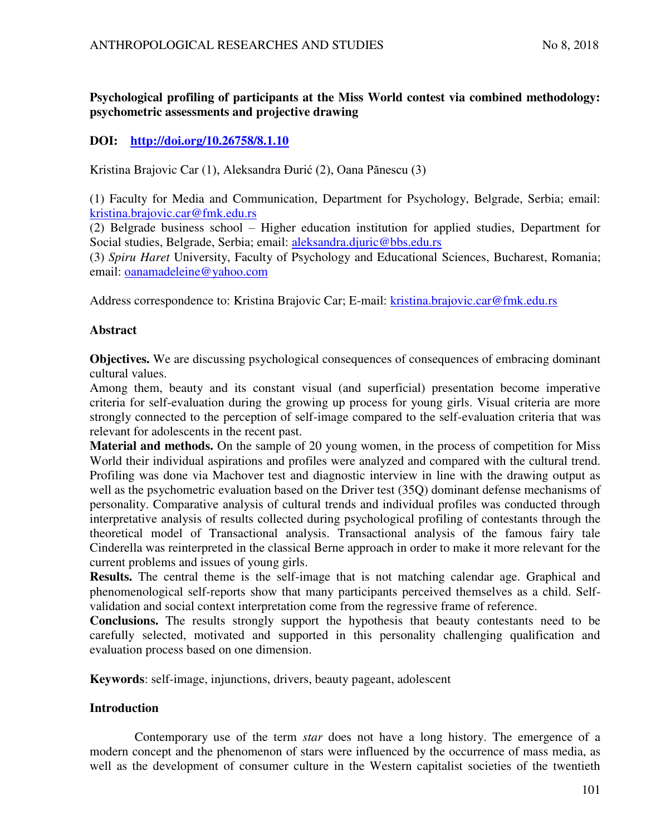# **Psychological profiling of participants at the Miss World contest via combined methodology: psychometric assessments and projective drawing**

# **DOI: <http://doi.org/10.26758/8.1.10>**

Kristina Brajovic Car (1), Aleksandra Đurić (2), Oana Pănescu (3)

(1) Faculty for Media and Communication, Department for Psychology, Belgrade, Serbia; email: [kristina.brajovic.car@fmk.edu.rs](mailto:kristina.brajovic.car@fmk.edu.rs) 

(2) Belgrade business school – Higher education institution for applied studies, Department for Social studies, Belgrade, Serbia; email: [aleksandra.djuric@bbs.edu.rs](mailto:aleksandra.djuric@bbs.edu.rs) 

(3) *Spiru Haret* University, Faculty of Psychology and Educational Sciences, Bucharest, Romania; email: [oanamadeleine@yahoo.com](mailto:oanamadeleine@yahoo.com) 

Address correspondence to: Kristina Brajovic Car; E-mail: kristina.brajovic.car@fmk.edu.rs

## **Abstract**

**Objectives.** We are discussing psychological consequences of consequences of embracing dominant cultural values.

Among them, beauty and its constant visual (and superficial) presentation become imperative criteria for self-evaluation during the growing up process for young girls. Visual criteria are more strongly connected to the perception of self-image compared to the self-evaluation criteria that was relevant for adolescents in the recent past.

**Material and methods.** On the sample of 20 young women, in the process of competition for Miss World their individual aspirations and profiles were analyzed and compared with the cultural trend. Profiling was done via Machover test and diagnostic interview in line with the drawing output as well as the psychometric evaluation based on the Driver test (35Q) dominant defense mechanisms of personality. Comparative analysis of cultural trends and individual profiles was conducted through interpretative analysis of results collected during psychological profiling of contestants through the theoretical model of Transactional analysis. Transactional analysis of the famous fairy tale Cinderella was reinterpreted in the classical Berne approach in order to make it more relevant for the current problems and issues of young girls.

**Results.** The central theme is the self-image that is not matching calendar age. Graphical and phenomenological self-reports show that many participants perceived themselves as a child. Selfvalidation and social context interpretation come from the regressive frame of reference.

**Conclusions.** The results strongly support the hypothesis that beauty contestants need to be carefully selected, motivated and supported in this personality challenging qualification and evaluation process based on one dimension.

**Keywords**: self-image, injunctions, drivers, beauty pageant, adolescent

# **Introduction**

Contemporary use of the term *star* does not have a long history. The emergence of a modern concept and the phenomenon of stars were influenced by the occurrence of mass media, as well as the development of consumer culture in the Western capitalist societies of the twentieth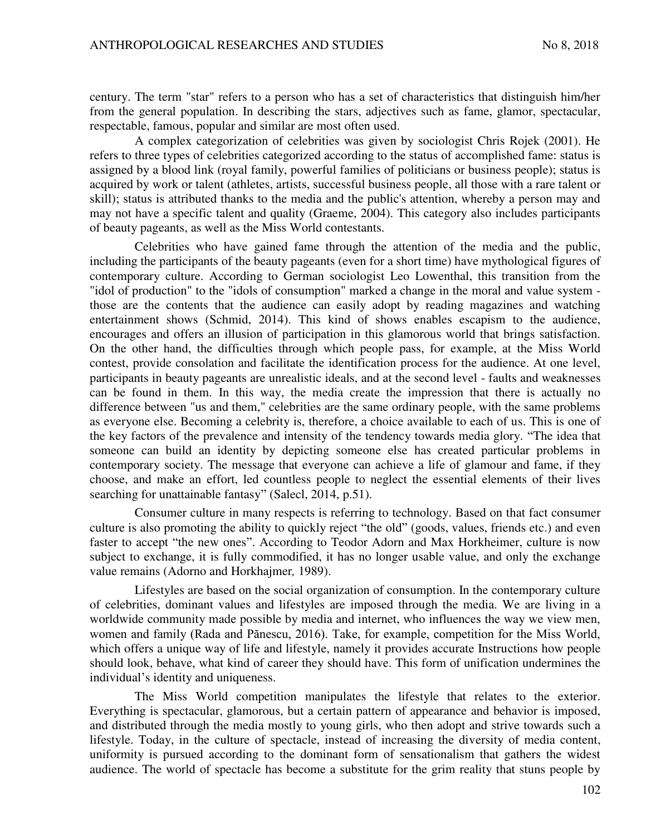century. The term "star" refers to a person who has a set of characteristics that distinguish him/her from the general population. In describing the stars, adjectives such as fame, glamor, spectacular, respectable, famous, popular and similar are most often used.

A complex categorization of celebrities was given by sociologist Chris Rojek (2001). He refers to three types of celebrities categorized according to the status of accomplished fame: status is assigned by a blood link (royal family, powerful families of politicians or business people); status is acquired by work or talent (athletes, artists, successful business people, all those with a rare talent or skill); status is attributed thanks to the media and the public's attention, whereby a person may and may not have a specific talent and quality (Graeme, 2004). This category also includes participants of beauty pageants, as well as the Miss World contestants.

Celebrities who have gained fame through the attention of the media and the public, including the participants of the beauty pageants (even for a short time) have mythological figures of contemporary culture. According to German sociologist Leo Lowenthal, this transition from the "idol of production" to the "idols of consumption" marked a change in the moral and value system those are the contents that the audience can easily adopt by reading magazines and watching entertainment shows (Schmid, 2014). This kind of shows enables escapism to the audience, encourages and offers an illusion of participation in this glamorous world that brings satisfaction. On the other hand, the difficulties through which people pass, for example, at the Miss World contest, provide consolation and facilitate the identification process for the audience. At one level, participants in beauty pageants are unrealistic ideals, and at the second level - faults and weaknesses can be found in them. In this way, the media create the impression that there is actually no difference between "us and them," celebrities are the same ordinary people, with the same problems as everyone else. Becoming a celebrity is, therefore, a choice available to each of us. This is one of the key factors of the prevalence and intensity of the tendency towards media glory. "The idea that someone can build an identity by depicting someone else has created particular problems in contemporary society. The message that everyone can achieve a life of glamour and fame, if they choose, and make an effort, led countless people to neglect the essential elements of their lives searching for unattainable fantasy" (Salecl, 2014, p.51).

Consumer culture in many respects is referring to technology. Based on that fact consumer culture is also promoting the ability to quickly reject "the old" (goods, values, friends etc.) and even faster to accept "the new ones". According to Teodor Adorn and Max Horkheimer, culture is now subject to exchange, it is fully commodified, it has no longer usable value, and only the exchange value remains (Adorno and Horkhajmer*,* 1989).

Lifestyles are based on the social organization of consumption. In the contemporary culture of celebrities, dominant values and lifestyles are imposed through the media. We are living in a worldwide community made possible by media and internet, who influences the way we view men, women and family (Rada and Pănescu, 2016). Take, for example, competition for the Miss World, which offers a unique way of life and lifestyle, namely it provides accurate Instructions how people should look, behave, what kind of career they should have. This form of unification undermines the individual's identity and uniqueness.

The Miss World competition manipulates the lifestyle that relates to the exterior. Everything is spectacular, glamorous, but a certain pattern of appearance and behavior is imposed, and distributed through the media mostly to young girls, who then adopt and strive towards such a lifestyle. Today, in the culture of spectacle, instead of increasing the diversity of media content, uniformity is pursued according to the dominant form of sensationalism that gathers the widest audience. The world of spectacle has become a substitute for the grim reality that stuns people by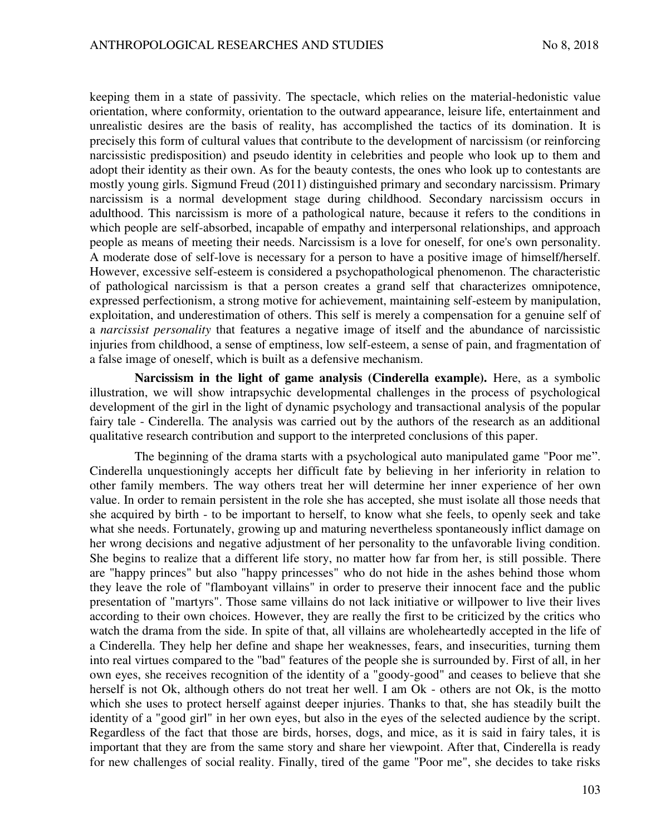keeping them in a state of passivity. The spectacle, which relies on the material-hedonistic value orientation, where conformity, orientation to the outward appearance, leisure life, entertainment and unrealistic desires are the basis of reality, has accomplished the tactics of its domination. It is precisely this form of cultural values that contribute to the development of narcissism (or reinforcing narcissistic predisposition) and pseudo identity in celebrities and people who look up to them and adopt their identity as their own. As for the beauty contests, the ones who look up to contestants are mostly young girls. Sigmund Freud (2011) distinguished primary and secondary narcissism. Primary narcissism is a normal development stage during childhood. Secondary narcissism occurs in adulthood. This narcissism is more of a pathological nature, because it refers to the conditions in which people are self-absorbed, incapable of empathy and interpersonal relationships, and approach people as means of meeting their needs. Narcissism is a love for oneself, for one's own personality. A moderate dose of self-love is necessary for a person to have a positive image of himself/herself. However, excessive self-esteem is considered a psychopathological phenomenon. The characteristic of pathological narcissism is that a person creates a grand self that characterizes omnipotence, expressed perfectionism, a strong motive for achievement, maintaining self-esteem by manipulation, exploitation, and underestimation of others. This self is merely a compensation for a genuine self of a *narcissist personality* that features a negative image of itself and the abundance of narcissistic injuries from childhood, a sense of emptiness, low self-esteem, a sense of pain, and fragmentation of a false image of oneself, which is built as a defensive mechanism.

**Narcissism in the light of game analysis (Cinderella example).** Here, as a symbolic illustration, we will show intrapsychic developmental challenges in the process of psychological development of the girl in the light of dynamic psychology and transactional analysis of the popular fairy tale - Cinderella. The analysis was carried out by the authors of the research as an additional qualitative research contribution and support to the interpreted conclusions of this paper.

The beginning of the drama starts with a psychological auto manipulated game "Poor me". Cinderella unquestioningly accepts her difficult fate by believing in her inferiority in relation to other family members. The way others treat her will determine her inner experience of her own value. In order to remain persistent in the role she has accepted, she must isolate all those needs that she acquired by birth - to be important to herself, to know what she feels, to openly seek and take what she needs. Fortunately, growing up and maturing nevertheless spontaneously inflict damage on her wrong decisions and negative adjustment of her personality to the unfavorable living condition. She begins to realize that a different life story, no matter how far from her, is still possible. There are "happy princes" but also "happy princesses" who do not hide in the ashes behind those whom they leave the role of "flamboyant villains" in order to preserve their innocent face and the public presentation of "martyrs". Those same villains do not lack initiative or willpower to live their lives according to their own choices. However, they are really the first to be criticized by the critics who watch the drama from the side. In spite of that, all villains are wholeheartedly accepted in the life of a Cinderella. They help her define and shape her weaknesses, fears, and insecurities, turning them into real virtues compared to the "bad" features of the people she is surrounded by. First of all, in her own eyes, she receives recognition of the identity of a "goody-good" and ceases to believe that she herself is not Ok, although others do not treat her well. I am Ok - others are not Ok, is the motto which she uses to protect herself against deeper injuries. Thanks to that, she has steadily built the identity of a "good girl" in her own eyes, but also in the eyes of the selected audience by the script. Regardless of the fact that those are birds, horses, dogs, and mice, as it is said in fairy tales, it is important that they are from the same story and share her viewpoint. After that, Cinderella is ready for new challenges of social reality. Finally, tired of the game "Poor me", she decides to take risks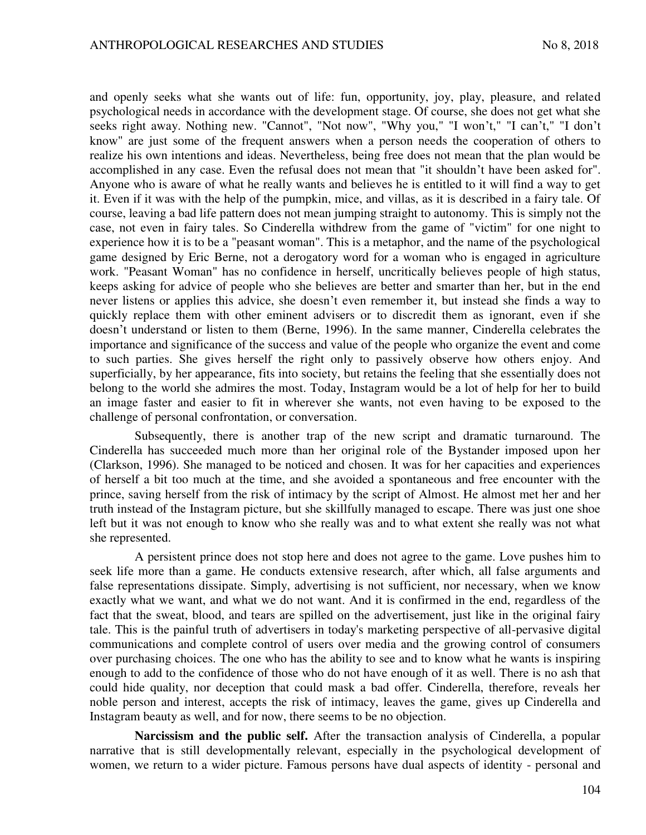and openly seeks what she wants out of life: fun, opportunity, joy, play, pleasure, and related psychological needs in accordance with the development stage. Of course, she does not get what she seeks right away. Nothing new. "Cannot", "Not now", "Why you," "I won't," "I can't," "I don't know" are just some of the frequent answers when a person needs the cooperation of others to realize his own intentions and ideas. Nevertheless, being free does not mean that the plan would be accomplished in any case. Even the refusal does not mean that "it shouldn't have been asked for". Anyone who is aware of what he really wants and believes he is entitled to it will find a way to get it. Even if it was with the help of the pumpkin, mice, and villas, as it is described in a fairy tale. Of course, leaving a bad life pattern does not mean jumping straight to autonomy. This is simply not the case, not even in fairy tales. So Cinderella withdrew from the game of "victim" for one night to experience how it is to be a "peasant woman". This is a metaphor, and the name of the psychological game designed by Eric Berne, not a derogatory word for a woman who is engaged in agriculture work. "Peasant Woman" has no confidence in herself, uncritically believes people of high status, keeps asking for advice of people who she believes are better and smarter than her, but in the end never listens or applies this advice, she doesn't even remember it, but instead she finds a way to quickly replace them with other eminent advisers or to discredit them as ignorant, even if she doesn't understand or listen to them (Berne, 1996). In the same manner, Cinderella celebrates the importance and significance of the success and value of the people who organize the event and come to such parties. She gives herself the right only to passively observe how others enjoy. And superficially, by her appearance, fits into society, but retains the feeling that she essentially does not belong to the world she admires the most. Today, Instagram would be a lot of help for her to build an image faster and easier to fit in wherever she wants, not even having to be exposed to the challenge of personal confrontation, or conversation.

Subsequently, there is another trap of the new script and dramatic turnaround. The Cinderella has succeeded much more than her original role of the Bystander imposed upon her (Clarkson, 1996). She managed to be noticed and chosen. It was for her capacities and experiences of herself a bit too much at the time, and she avoided a spontaneous and free encounter with the prince, saving herself from the risk of intimacy by the script of Almost. He almost met her and her truth instead of the Instagram picture, but she skillfully managed to escape. There was just one shoe left but it was not enough to know who she really was and to what extent she really was not what she represented.

A persistent prince does not stop here and does not agree to the game. Love pushes him to seek life more than a game. He conducts extensive research, after which, all false arguments and false representations dissipate. Simply, advertising is not sufficient, nor necessary, when we know exactly what we want, and what we do not want. And it is confirmed in the end, regardless of the fact that the sweat, blood, and tears are spilled on the advertisement, just like in the original fairy tale. This is the painful truth of advertisers in today's marketing perspective of all-pervasive digital communications and complete control of users over media and the growing control of consumers over purchasing choices. The one who has the ability to see and to know what he wants is inspiring enough to add to the confidence of those who do not have enough of it as well. There is no ash that could hide quality, nor deception that could mask a bad offer. Cinderella, therefore, reveals her noble person and interest, accepts the risk of intimacy, leaves the game, gives up Cinderella and Instagram beauty as well, and for now, there seems to be no objection.

**Narcissism and the public self.** After the transaction analysis of Cinderella, a popular narrative that is still developmentally relevant, especially in the psychological development of women, we return to a wider picture. Famous persons have dual aspects of identity - personal and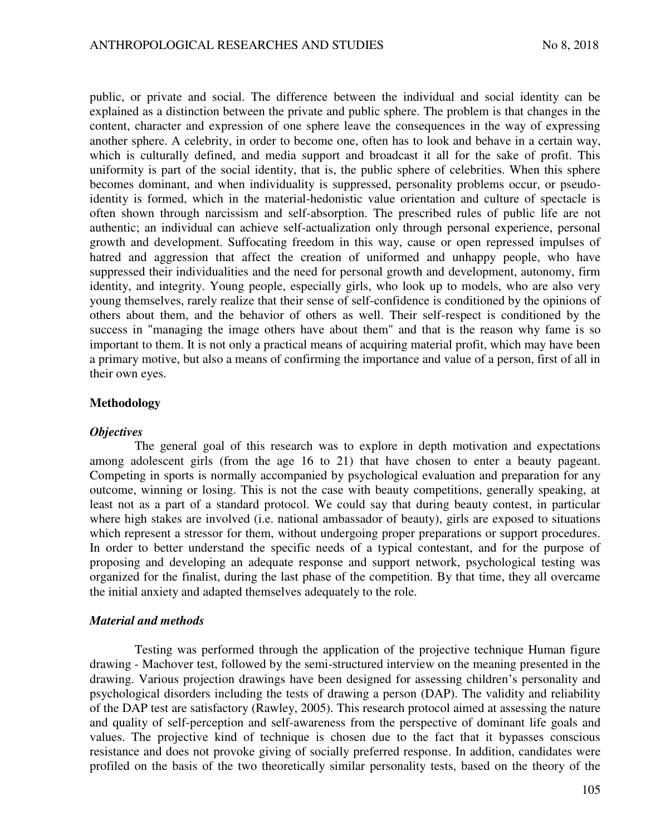public, or private and social. The difference between the individual and social identity can be explained as a distinction between the private and public sphere. The problem is that changes in the content, character and expression of one sphere leave the consequences in the way of expressing another sphere. A celebrity, in order to become one, often has to look and behave in a certain way, which is culturally defined, and media support and broadcast it all for the sake of profit. This uniformity is part of the social identity, that is, the public sphere of celebrities. When this sphere becomes dominant, and when individuality is suppressed, personality problems occur, or pseudoidentity is formed, which in the material-hedonistic value orientation and culture of spectacle is often shown through narcissism and self-absorption. The prescribed rules of public life are not authentic; an individual can achieve self-actualization only through personal experience, personal growth and development. Suffocating freedom in this way, cause or open repressed impulses of hatred and aggression that affect the creation of uniformed and unhappy people, who have suppressed their individualities and the need for personal growth and development, autonomy, firm identity, and integrity. Young people, especially girls, who look up to models, who are also very young themselves, rarely realize that their sense of self-confidence is conditioned by the opinions of others about them, and the behavior of others as well. Their self-respect is conditioned by the success in "managing the image others have about them" and that is the reason why fame is so important to them. It is not only a practical means of acquiring material profit, which may have been a primary motive, but also a means of confirming the importance and value of a person, first of all in their own eyes.

#### **Methodology**

#### *Objectives*

The general goal of this research was to explore in depth motivation and expectations among adolescent girls (from the age 16 to 21) that have chosen to enter a beauty pageant. Competing in sports is normally accompanied by psychological evaluation and preparation for any outcome, winning or losing. This is not the case with beauty competitions, generally speaking, at least not as a part of a standard protocol. We could say that during beauty contest, in particular where high stakes are involved (i.e. national ambassador of beauty), girls are exposed to situations which represent a stressor for them, without undergoing proper preparations or support procedures. In order to better understand the specific needs of a typical contestant, and for the purpose of proposing and developing an adequate response and support network, psychological testing was organized for the finalist, during the last phase of the competition. By that time, they all overcame the initial anxiety and adapted themselves adequately to the role.

#### *Material and methods*

Testing was performed through the application of the projective technique Human figure drawing - Machover test, followed by the semi-structured interview on the meaning presented in the drawing. Various projection drawings have been designed for assessing children's personality and psychological disorders including the tests of drawing a person (DAP). The validity and reliability of the DAP test are satisfactory (Rawley, 2005). This research protocol aimed at assessing the nature and quality of self-perception and self-awareness from the perspective of dominant life goals and values. The projective kind of technique is chosen due to the fact that it bypasses conscious resistance and does not provoke giving of socially preferred response. In addition, candidates were profiled on the basis of the two theoretically similar personality tests, based on the theory of the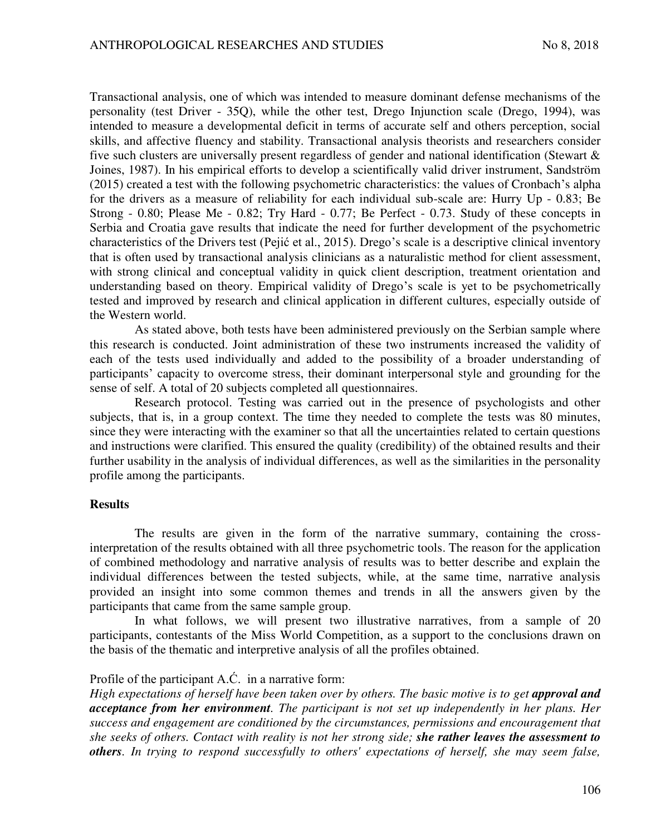Transactional analysis, one of which was intended to measure dominant defense mechanisms of the personality (test Driver - 35Q), while the other test, Drego Injunction scale (Drego, 1994), was intended to measure a developmental deficit in terms of accurate self and others perception, social skills, and affective fluency and stability. Transactional analysis theorists and researchers consider five such clusters are universally present regardless of gender and national identification (Stewart & Joines, 1987). In his empirical efforts to develop a scientifically valid driver instrument, Sandström (2015) created a test with the following psychometric characteristics: the values of Cronbach's alpha for the drivers as a measure of reliability for each individual sub-scale are: Hurry Up - 0.83; Be Strong - 0.80; Please Me - 0.82; Try Hard - 0.77; Be Perfect - 0.73. Study of these concepts in Serbia and Croatia gave results that indicate the need for further development of the psychometric characteristics of the Drivers test (Pejić et al., 2015). Drego's scale is a descriptive clinical inventory that is often used by transactional analysis clinicians as a naturalistic method for client assessment, with strong clinical and conceptual validity in quick client description, treatment orientation and understanding based on theory. Empirical validity of Drego's scale is yet to be psychometrically tested and improved by research and clinical application in different cultures, especially outside of the Western world.

As stated above, both tests have been administered previously on the Serbian sample where this research is conducted. Joint administration of these two instruments increased the validity of each of the tests used individually and added to the possibility of a broader understanding of participants' capacity to overcome stress, their dominant interpersonal style and grounding for the sense of self. A total of 20 subjects completed all questionnaires.

Research protocol. Testing was carried out in the presence of psychologists and other subjects, that is, in a group context. The time they needed to complete the tests was 80 minutes, since they were interacting with the examiner so that all the uncertainties related to certain questions and instructions were clarified. This ensured the quality (credibility) of the obtained results and their further usability in the analysis of individual differences, as well as the similarities in the personality profile among the participants.

## **Results**

The results are given in the form of the narrative summary, containing the crossinterpretation of the results obtained with all three psychometric tools. The reason for the application of combined methodology and narrative analysis of results was to better describe and explain the individual differences between the tested subjects, while, at the same time, narrative analysis provided an insight into some common themes and trends in all the answers given by the participants that came from the same sample group.

In what follows, we will present two illustrative narratives, from a sample of 20 participants, contestants of the Miss World Competition, as a support to the conclusions drawn on the basis of the thematic and interpretive analysis of all the profiles obtained.

# Profile of the participant A.Ć. in a narrative form:

*High expectations of herself have been taken over by others. The basic motive is to get approval and acceptance from her environment. The participant is not set up independently in her plans. Her success and engagement are conditioned by the circumstances, permissions and encouragement that she seeks of others. Contact with reality is not her strong side; she rather leaves the assessment to others. In trying to respond successfully to others' expectations of herself, she may seem false,*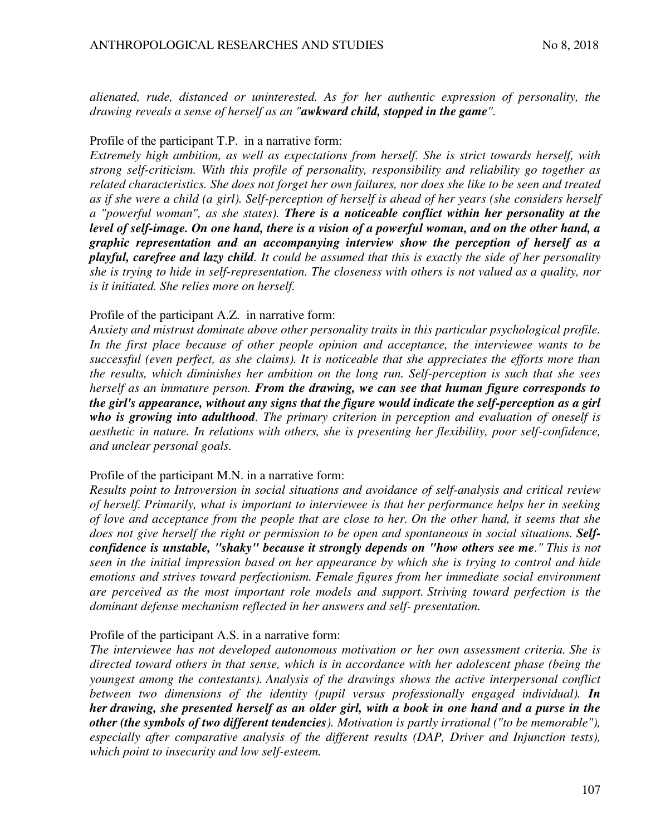*alienated, rude, distanced or uninterested. As for her authentic expression of personality, the drawing reveals a sense of herself as an "awkward child, stopped in the game".*

## Profile of the participant T.P. in a narrative form:

*Extremely high ambition, as well as expectations from herself. She is strict towards herself, with strong self-criticism. With this profile of personality, responsibility and reliability go together as related characteristics. She does not forget her own failures, nor does she like to be seen and treated as if she were a child (a girl). Self-perception of herself is ahead of her years (she considers herself a "powerful woman", as she states). There is a noticeable conflict within her personality at the level of self-image. On one hand, there is a vision of a powerful woman, and on the other hand, a graphic representation and an accompanying interview show the perception of herself as a playful, carefree and lazy child. It could be assumed that this is exactly the side of her personality she is trying to hide in self-representation. The closeness with others is not valued as a quality, nor is it initiated. She relies more on herself.* 

## Profile of the participant A.Z. in narrative form:

*Anxiety and mistrust dominate above other personality traits in this particular psychological profile. In the first place because of other people opinion and acceptance, the interviewee wants to be successful (even perfect, as she claims). It is noticeable that she appreciates the efforts more than the results, which diminishes her ambition on the long run. Self-perception is such that she sees herself as an immature person. From the drawing, we can see that human figure corresponds to the girl's appearance, without any signs that the figure would indicate the self-perception as a girl who is growing into adulthood. The primary criterion in perception and evaluation of oneself is aesthetic in nature. In relations with others, she is presenting her flexibility, poor self-confidence, and unclear personal goals.* 

## Profile of the participant M.N. in a narrative form:

*Results point to Introversion in social situations and avoidance of self-analysis and critical review of herself. Primarily, what is important to interviewee is that her performance helps her in seeking of love and acceptance from the people that are close to her. On the other hand, it seems that she*  does not give herself the right or permission to be open and spontaneous in social situations. Self*confidence is unstable, "shaky" because it strongly depends on "how others see me." This is not seen in the initial impression based on her appearance by which she is trying to control and hide emotions and strives toward perfectionism. Female figures from her immediate social environment are perceived as the most important role models and support. Striving toward perfection is the dominant defense mechanism reflected in her answers and self- presentation.* 

## Profile of the participant A.S. in a narrative form:

*The interviewee has not developed autonomous motivation or her own assessment criteria. She is directed toward others in that sense, which is in accordance with her adolescent phase (being the youngest among the contestants). Analysis of the drawings shows the active interpersonal conflict between two dimensions of the identity (pupil versus professionally engaged individual). In her drawing, she presented herself as an older girl, with a book in one hand and a purse in the other (the symbols of two different tendencies). Motivation is partly irrational ("to be memorable"), especially after comparative analysis of the different results (DAP, Driver and Injunction tests), which point to insecurity and low self-esteem.*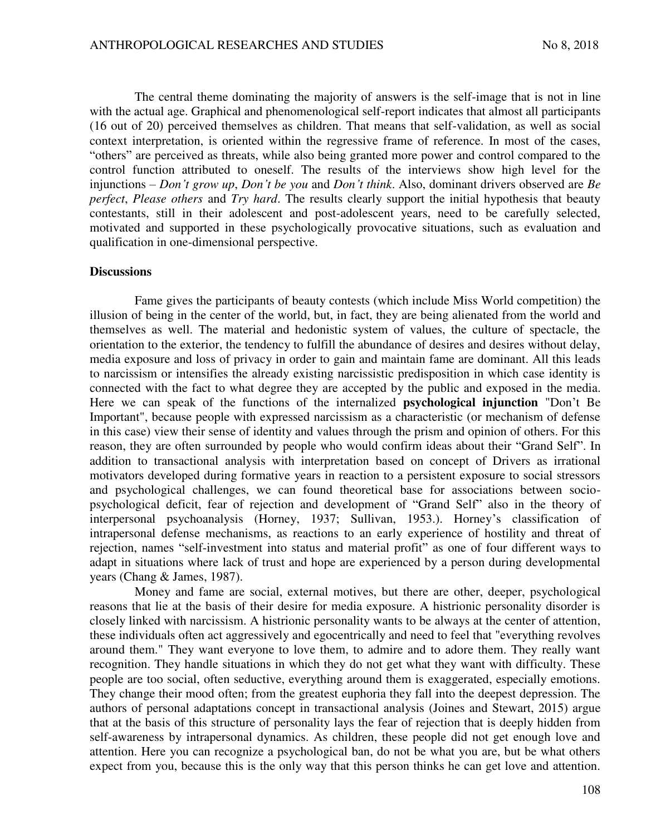The central theme dominating the majority of answers is the self-image that is not in line with the actual age. Graphical and phenomenological self-report indicates that almost all participants (16 out of 20) perceived themselves as children. That means that self-validation, as well as social context interpretation, is oriented within the regressive frame of reference. In most of the cases, "others" are perceived as threats, while also being granted more power and control compared to the control function attributed to oneself. The results of the interviews show high level for the injunctions – *Don't grow up*, *Don't be you* and *Don't think*. Also, dominant drivers observed are *Be perfect*, *Please others* and *Try hard*. The results clearly support the initial hypothesis that beauty contestants, still in their adolescent and post-adolescent years, need to be carefully selected, motivated and supported in these psychologically provocative situations, such as evaluation and qualification in one-dimensional perspective.

#### **Discussions**

Fame gives the participants of beauty contests (which include Miss World competition) the illusion of being in the center of the world, but, in fact, they are being alienated from the world and themselves as well. The material and hedonistic system of values, the culture of spectacle, the orientation to the exterior, the tendency to fulfill the abundance of desires and desires without delay, media exposure and loss of privacy in order to gain and maintain fame are dominant. All this leads to narcissism or intensifies the already existing narcissistic predisposition in which case identity is connected with the fact to what degree they are accepted by the public and exposed in the media. Here we can speak of the functions of the internalized **psychological injunction** "Don't Be Important", because people with expressed narcissism as a characteristic (or mechanism of defense in this case) view their sense of identity and values through the prism and opinion of others. For this reason, they are often surrounded by people who would confirm ideas about their "Grand Self". In addition to transactional analysis with interpretation based on concept of Drivers as irrational motivators developed during formative years in reaction to a persistent exposure to social stressors and psychological challenges, we can found theoretical base for associations between sociopsychological deficit, fear of rejection and development of "Grand Self" also in the theory of interpersonal psychoanalysis (Horney, 1937; Sullivan, 1953.). Horney's classification of intrapersonal defense mechanisms, as reactions to an early experience of hostility and threat of rejection, names "self-investment into status and material profit" as one of four different ways to adapt in situations where lack of trust and hope are experienced by a person during developmental years (Chang & James, 1987).

Money and fame are social, external motives, but there are other, deeper, psychological reasons that lie at the basis of their desire for media exposure. A histrionic personality disorder is closely linked with narcissism. A histrionic personality wants to be always at the center of attention, these individuals often act aggressively and egocentrically and need to feel that "everything revolves around them." They want everyone to love them, to admire and to adore them. They really want recognition. They handle situations in which they do not get what they want with difficulty. These people are too social, often seductive, everything around them is exaggerated, especially emotions. They change their mood often; from the greatest euphoria they fall into the deepest depression. The authors of personal adaptations concept in transactional analysis (Joines and Stewart, 2015) argue that at the basis of this structure of personality lays the fear of rejection that is deeply hidden from self-awareness by intrapersonal dynamics. As children, these people did not get enough love and attention. Here you can recognize a psychological ban, do not be what you are, but be what others expect from you, because this is the only way that this person thinks he can get love and attention.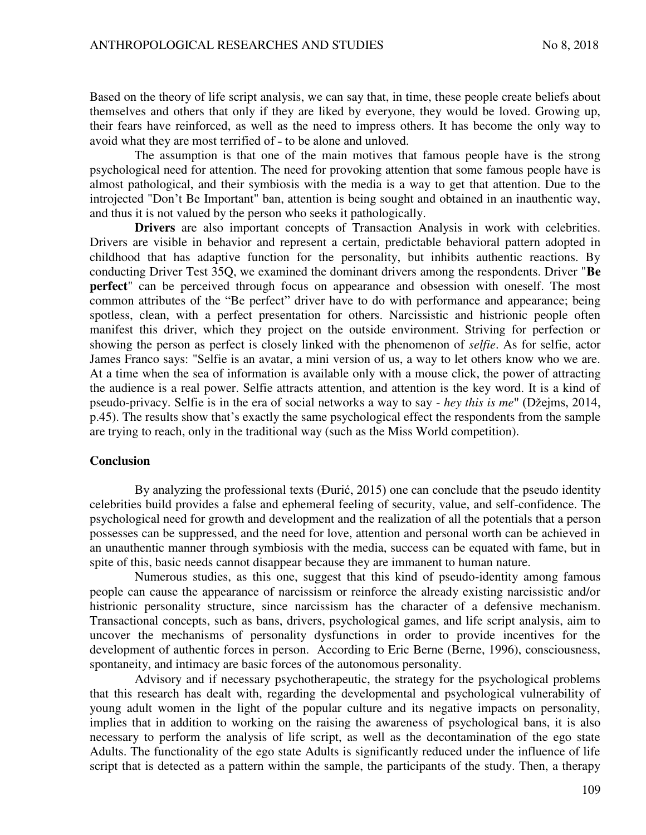Based on the theory of life script analysis, we can say that, in time, these people create beliefs about themselves and others that only if they are liked by everyone, they would be loved. Growing up, their fears have reinforced, as well as the need to impress others. It has become the only way to avoid what they are most terrified of - to be alone and unloved.

The assumption is that one of the main motives that famous people have is the strong psychological need for attention. The need for provoking attention that some famous people have is almost pathological, and their symbiosis with the media is a way to get that attention. Due to the introjected "Don't Be Important" ban, attention is being sought and obtained in an inauthentic way, and thus it is not valued by the person who seeks it pathologically.

**Drivers** are also important concepts of Transaction Analysis in work with celebrities. Drivers are visible in behavior and represent a certain, predictable behavioral pattern adopted in childhood that has adaptive function for the personality, but inhibits authentic reactions. By conducting Driver Test 35Q, we examined the dominant drivers among the respondents. Driver "**Be perfect**" can be perceived through focus on appearance and obsession with oneself. The most common attributes of the "Be perfect" driver have to do with performance and appearance; being spotless, clean, with a perfect presentation for others. Narcissistic and histrionic people often manifest this driver, which they project on the outside environment. Striving for perfection or showing the person as perfect is closely linked with the phenomenon of *selfie*. As for selfie, actor James Franco says: "Selfie is an avatar, a mini version of us, a way to let others know who we are. At a time when the sea of information is available only with a mouse click, the power of attracting the audience is a real power. Selfie attracts attention, and attention is the key word. It is a kind of pseudo-privacy. Selfie is in the era of social networks a way to say - *hey this is me*" (Džejms, 2014, p.45). The results show that's exactly the same psychological effect the respondents from the sample are trying to reach, only in the traditional way (such as the Miss World competition).

#### **Conclusion**

By analyzing the professional texts (Đurić, 2015) one can conclude that the pseudo identity celebrities build provides a false and ephemeral feeling of security, value, and self-confidence. The psychological need for growth and development and the realization of all the potentials that a person possesses can be suppressed, and the need for love, attention and personal worth can be achieved in an unauthentic manner through symbiosis with the media, success can be equated with fame, but in spite of this, basic needs cannot disappear because they are immanent to human nature.

Numerous studies, as this one, suggest that this kind of pseudo-identity among famous people can cause the appearance of narcissism or reinforce the already existing narcissistic and/or histrionic personality structure, since narcissism has the character of a defensive mechanism. Transactional concepts, such as bans, drivers, psychological games, and life script analysis, aim to uncover the mechanisms of personality dysfunctions in order to provide incentives for the development of authentic forces in person. According to Eric Berne (Berne, 1996), consciousness, spontaneity, and intimacy are basic forces of the autonomous personality.

Advisory and if necessary psychotherapeutic, the strategy for the psychological problems that this research has dealt with, regarding the developmental and psychological vulnerability of young adult women in the light of the popular culture and its negative impacts on personality, implies that in addition to working on the raising the awareness of psychological bans, it is also necessary to perform the analysis of life script, as well as the decontamination of the ego state Adults. The functionality of the ego state Adults is significantly reduced under the influence of life script that is detected as a pattern within the sample, the participants of the study. Then, a therapy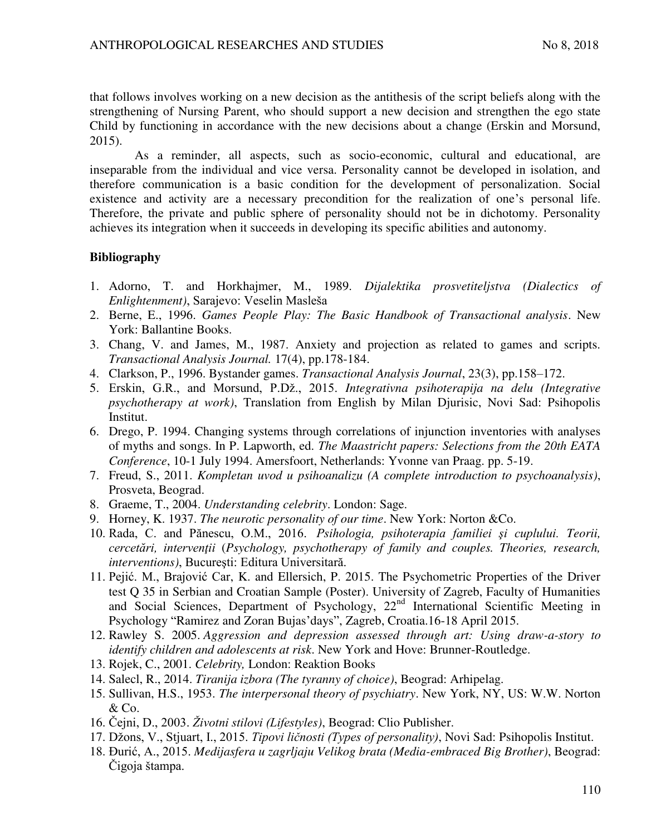that follows involves working on a new decision as the antithesis of the script beliefs along with the strengthening of Nursing Parent, who should support a new decision and strengthen the ego state Child by functioning in accordance with the new decisions about a change (Erskin and Morsund, 2015).

As a reminder, all aspects, such as socio-economic, cultural and educational, are inseparable from the individual and vice versa. Personality cannot be developed in isolation, and therefore communication is a basic condition for the development of personalization. Social existence and activity are a necessary precondition for the realization of one's personal life. Therefore, the private and public sphere of personality should not be in dichotomy. Personality achieves its integration when it succeeds in developing its specific abilities and autonomy.

# **Bibliography**

- 1. Adorno, T. and Horkhajmer, M., 1989. *Dijalektika prosvetiteljstva (Dialectics of Enlightenment)*, Sarajevo: Veselin Masleša
- 2. Berne, E., 1996. *Games People Play: The Basic Handbook of Transactional analysis*. New York: Ballantine Books.
- 3. Chang, V. and James, M., 1987. Anxiety and projection as related to games and scripts. *Transactional Analysis Journal.* 17(4), pp.178-184.
- 4. Clarkson, P., 1996. Bystander games. *Transactional Analysis Journal*, 23(3), pp.158–172.
- 5. Erskin, G.R., and Morsund, P.Dž., 2015. *Integrativna psihoterapija na delu (Integrative psychotherapy at work)*, Translation from English by Milan Djurisic, Novi Sad: Psihopolis Institut.
- 6. Drego, P. 1994. Changing systems through correlations of injunction inventories with analyses of myths and songs. In P. Lapworth, ed. *The Maastricht papers: Selections from the 20th EATA Conference*, 10-1 July 1994. Amersfoort, Netherlands: Yvonne van Praag. pp. 5-19.
- 7. Freud, S., 2011. *Kompletan uvod u psihoanalizu (A complete introduction to psychoanalysis)*, Prosveta, Beograd.
- 8. Graeme, T., 2004. *Understanding celebrity*. London: Sage.
- 9. Horney, K. 1937. *The neurotic personality of our time*. New York: Norton &Co.
- 10. Rada, C. and Pănescu, O.M., 2016. *Psihologia, psihoterapia familiei şi cuplului. Teorii, cercetări, intervenţii* (*Psychology, psychotherapy of family and couples. Theories, research, interventions)*, Bucureşti: Editura Universitară.
- 11. Pejić. M., Brajović Car, K. and Ellersich, P. 2015. The Psychometric Properties of the Driver test Q 35 in Serbian and Croatian Sample (Poster). University of Zagreb, Faculty of Humanities and Social Sciences, Department of Psychology, 22<sup>nd</sup> International Scientific Meeting in Psychology "Ramirez and Zoran Bujas'days", Zagreb, Croatia.16-18 April 2015.
- 12. Rawley S. 2005. *Aggression and depression assessed through art: Using draw-a-story to identify children and adolescents at risk*. New York and Hove: Brunner-Routledge.
- 13. Rojek, C., 2001. *Celebrity,* London: Reaktion Books
- 14. Salecl, R., 2014. *Tiranija izbora (The tyranny of choice)*, Beograd: Arhipelag.
- 15. Sullivan, H.S., 1953. *The interpersonal theory of psychiatry*. New York, NY, US: W.W. Norton & Co.
- 16. Čejni, D., 2003. *Životni stilovi (Lifestyles)*, Beograd: Clio Publisher.
- 17. Džons, V., Stjuart, I., 2015. *Tipovi ličnosti (Types of personality)*, Novi Sad: Psihopolis Institut.
- 18. Đurić, A., 2015. *Medijasfera u zagrljaju Velikog brata (Media-embraced Big Brother)*, Beograd: Čigoja štampa.